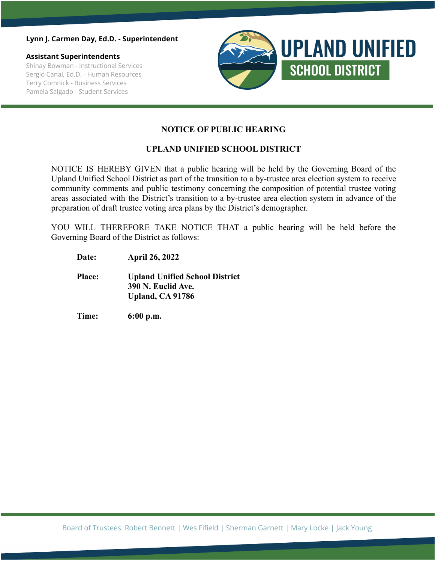#### **Lynn J. Carmen Day, Ed.D. - Superintendent**

### **Assistant Superintendents**

Shinay Bowman - Instructional Services Sergio Canal, Ed.D. - Human Resources Terry Comnick - Business Services Pamela Salgado - Student Services



## **NOTICE OF PUBLIC HEARING**

## **UPLAND UNIFIED SCHOOL DISTRICT**

NOTICE IS HEREBY GIVEN that a public hearing will be held by the Governing Board of the Upland Unified School District as part of the transition to a by-trustee area election system to receive community comments and public testimony concerning the composition of potential trustee voting areas associated with the District's transition to a by-trustee area election system in advance of the preparation of draft trustee voting area plans by the District's demographer.

YOU WILL THEREFORE TAKE NOTICE THAT a public hearing will be held before the Governing Board of the District as follows:

- **Date: April 26, 2022**
- **Place: Upland Unified School District 390 N. Euclid Ave. Upland, CA 91786**
- **Time: 6:00 p.m.**